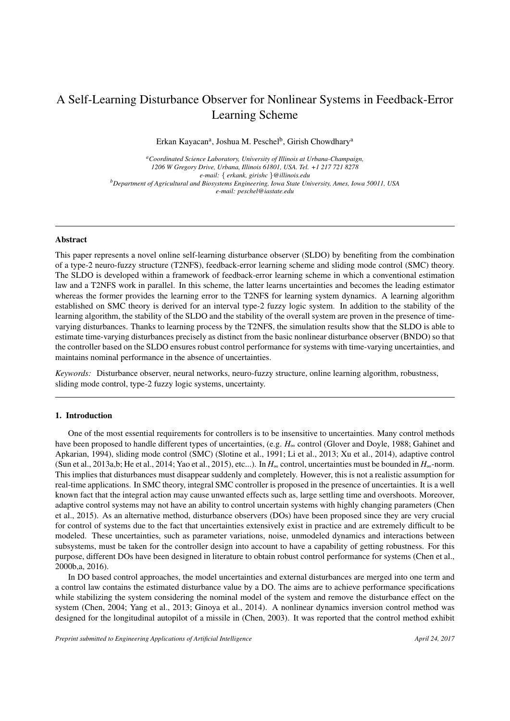# A Self-Learning Disturbance Observer for Nonlinear Systems in Feedback-Error Learning Scheme

Erkan Kayacan<sup>a</sup>, Joshua M. Peschel<sup>b</sup>, Girish Chowdhary<sup>a</sup>

*<sup>a</sup>Coordinated Science Laboratory, University of Illinois at Urbana-Champaign, 1206 W Gregory Drive, Urbana, Illinois 61801, USA. Tel. +1 217 721 8278 e-mail:* { *erkank, girishc* }*@illinois.edu <sup>b</sup>Department of Agricultural and Biosystems Engineering, Iowa State University, Ames, Iowa 50011, USA e-mail: peschel@iastate.edu*

#### Abstract

This paper represents a novel online self-learning disturbance observer (SLDO) by benefiting from the combination of a type-2 neuro-fuzzy structure (T2NFS), feedback-error learning scheme and sliding mode control (SMC) theory. The SLDO is developed within a framework of feedback-error learning scheme in which a conventional estimation law and a T2NFS work in parallel. In this scheme, the latter learns uncertainties and becomes the leading estimator whereas the former provides the learning error to the T2NFS for learning system dynamics. A learning algorithm established on SMC theory is derived for an interval type-2 fuzzy logic system. In addition to the stability of the learning algorithm, the stability of the SLDO and the stability of the overall system are proven in the presence of timevarying disturbances. Thanks to learning process by the T2NFS, the simulation results show that the SLDO is able to estimate time-varying disturbances precisely as distinct from the basic nonlinear disturbance observer (BNDO) so that the controller based on the SLDO ensures robust control performance for systems with time-varying uncertainties, and maintains nominal performance in the absence of uncertainties.

*Keywords:* Disturbance observer, neural networks, neuro-fuzzy structure, online learning algorithm, robustness, sliding mode control, type-2 fuzzy logic systems, uncertainty.

# 1. Introduction

One of the most essential requirements for controllers is to be insensitive to uncertainties. Many control methods have been proposed to handle different types of uncertainties, (e.g. *H*<sup>∞</sup> control (Glover and Doyle, 1988; Gahinet and Apkarian, 1994), sliding mode control (SMC) (Slotine et al., 1991; Li et al., 2013; Xu et al., 2014), adaptive control (Sun et al., 2013a,b; He et al., 2014; Yao et al., 2015), etc...). In *H*<sup>∞</sup> control, uncertainties must be bounded in *H*∞-norm. This implies that disturbances must disappear suddenly and completely. However, this is not a realistic assumption for real-time applications. In SMC theory, integral SMC controller is proposed in the presence of uncertainties. It is a well known fact that the integral action may cause unwanted effects such as, large settling time and overshoots. Moreover, adaptive control systems may not have an ability to control uncertain systems with highly changing parameters (Chen et al., 2015). As an alternative method, disturbance observers (DOs) have been proposed since they are very crucial for control of systems due to the fact that uncertainties extensively exist in practice and are extremely difficult to be modeled. These uncertainties, such as parameter variations, noise, unmodeled dynamics and interactions between subsystems, must be taken for the controller design into account to have a capability of getting robustness. For this purpose, different DOs have been designed in literature to obtain robust control performance for systems (Chen et al., 2000b,a, 2016).

In DO based control approaches, the model uncertainties and external disturbances are merged into one term and a control law contains the estimated disturbance value by a DO. The aims are to achieve performance specifications while stabilizing the system considering the nominal model of the system and remove the disturbance effect on the system (Chen, 2004; Yang et al., 2013; Ginoya et al., 2014). A nonlinear dynamics inversion control method was designed for the longitudinal autopilot of a missile in (Chen, 2003). It was reported that the control method exhibit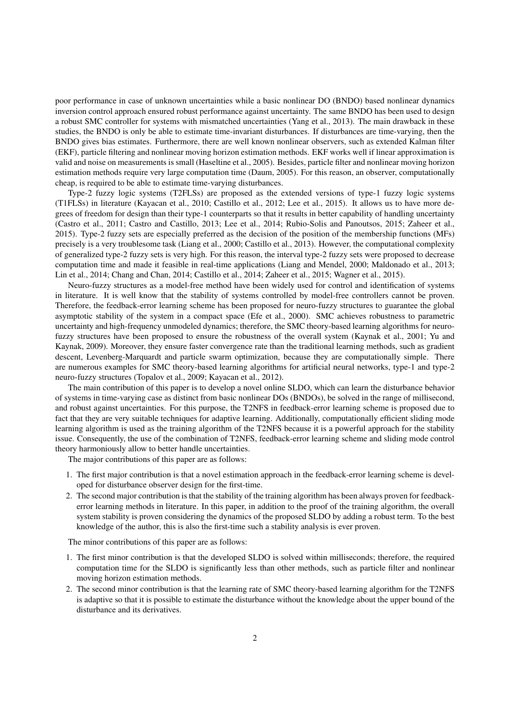poor performance in case of unknown uncertainties while a basic nonlinear DO (BNDO) based nonlinear dynamics inversion control approach ensured robust performance against uncertainty. The same BNDO has been used to design a robust SMC controller for systems with mismatched uncertainties (Yang et al., 2013). The main drawback in these studies, the BNDO is only be able to estimate time-invariant disturbances. If disturbances are time-varying, then the BNDO gives bias estimates. Furthermore, there are well known nonlinear observers, such as extended Kalman filter (EKF), particle filtering and nonlinear moving horizon estimation methods. EKF works well if linear approximation is valid and noise on measurements is small (Haseltine et al., 2005). Besides, particle filter and nonlinear moving horizon estimation methods require very large computation time (Daum, 2005). For this reason, an observer, computationally cheap, is required to be able to estimate time-varying disturbances.

Type-2 fuzzy logic systems (T2FLSs) are proposed as the extended versions of type-1 fuzzy logic systems (T1FLSs) in literature (Kayacan et al., 2010; Castillo et al., 2012; Lee et al., 2015). It allows us to have more degrees of freedom for design than their type-1 counterparts so that it results in better capability of handling uncertainty (Castro et al., 2011; Castro and Castillo, 2013; Lee et al., 2014; Rubio-Solis and Panoutsos, 2015; Zaheer et al., 2015). Type-2 fuzzy sets are especially preferred as the decision of the position of the membership functions (MFs) precisely is a very troublesome task (Liang et al., 2000; Castillo et al., 2013). However, the computational complexity of generalized type-2 fuzzy sets is very high. For this reason, the interval type-2 fuzzy sets were proposed to decrease computation time and made it feasible in real-time applications (Liang and Mendel, 2000; Maldonado et al., 2013; Lin et al., 2014; Chang and Chan, 2014; Castillo et al., 2014; Zaheer et al., 2015; Wagner et al., 2015).

Neuro-fuzzy structures as a model-free method have been widely used for control and identification of systems in literature. It is well know that the stability of systems controlled by model-free controllers cannot be proven. Therefore, the feedback-error learning scheme has been proposed for neuro-fuzzy structures to guarantee the global asymptotic stability of the system in a compact space (Efe et al., 2000). SMC achieves robustness to parametric uncertainty and high-frequency unmodeled dynamics; therefore, the SMC theory-based learning algorithms for neurofuzzy structures have been proposed to ensure the robustness of the overall system (Kaynak et al., 2001; Yu and Kaynak, 2009). Moreover, they ensure faster convergence rate than the traditional learning methods, such as gradient descent, Levenberg-Marquardt and particle swarm optimization, because they are computationally simple. There are numerous examples for SMC theory-based learning algorithms for artificial neural networks, type-1 and type-2 neuro-fuzzy structures (Topalov et al., 2009; Kayacan et al., 2012).

The main contribution of this paper is to develop a novel online SLDO, which can learn the disturbance behavior of systems in time-varying case as distinct from basic nonlinear DOs (BNDOs), be solved in the range of millisecond, and robust against uncertainties. For this purpose, the T2NFS in feedback-error learning scheme is proposed due to fact that they are very suitable techniques for adaptive learning. Additionally, computationally efficient sliding mode learning algorithm is used as the training algorithm of the T2NFS because it is a powerful approach for the stability issue. Consequently, the use of the combination of T2NFS, feedback-error learning scheme and sliding mode control theory harmoniously allow to better handle uncertainties.

The major contributions of this paper are as follows:

- 1. The first major contribution is that a novel estimation approach in the feedback-error learning scheme is developed for disturbance observer design for the first-time.
- 2. The second major contribution is that the stability of the training algorithm has been always proven for feedbackerror learning methods in literature. In this paper, in addition to the proof of the training algorithm, the overall system stability is proven considering the dynamics of the proposed SLDO by adding a robust term. To the best knowledge of the author, this is also the first-time such a stability analysis is ever proven.

The minor contributions of this paper are as follows:

- 1. The first minor contribution is that the developed SLDO is solved within milliseconds; therefore, the required computation time for the SLDO is significantly less than other methods, such as particle filter and nonlinear moving horizon estimation methods.
- 2. The second minor contribution is that the learning rate of SMC theory-based learning algorithm for the T2NFS is adaptive so that it is possible to estimate the disturbance without the knowledge about the upper bound of the disturbance and its derivatives.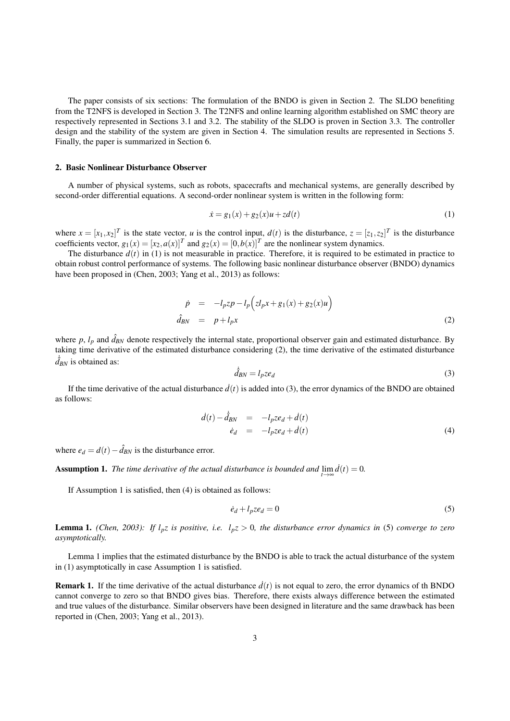The paper consists of six sections: The formulation of the BNDO is given in Section 2. The SLDO benefiting from the T2NFS is developed in Section 3. The T2NFS and online learning algorithm established on SMC theory are respectively represented in Sections 3.1 and 3.2. The stability of the SLDO is proven in Section 3.3. The controller design and the stability of the system are given in Section 4. The simulation results are represented in Sections 5. Finally, the paper is summarized in Section 6.

#### 2. Basic Nonlinear Disturbance Observer

A number of physical systems, such as robots, spacecrafts and mechanical systems, are generally described by second-order differential equations. A second-order nonlinear system is written in the following form:

$$
\dot{x} = g_1(x) + g_2(x)u + z d(t) \tag{1}
$$

where  $x = [x_1, x_2]^T$  is the state vector, *u* is the control input,  $d(t)$  is the disturbance,  $z = [z_1, z_2]^T$  is the disturbance coefficients vector,  $g_1(x) = [x_2, a(x)]^T$  and  $g_2(x) = [0, b(x)]^T$  are the nonlinear system dynamics.

The disturbance  $d(t)$  in (1) is not measurable in practice. Therefore, it is required to be estimated in practice to obtain robust control performance of systems. The following basic nonlinear disturbance observer (BNDO) dynamics have been proposed in (Chen, 2003; Yang et al., 2013) as follows:

$$
\dot{p} = -l_p z p - l_p \left( z l_p x + g_1(x) + g_2(x) u \right)
$$
\n
$$
\hat{d}_{BN} = p + l_p x \tag{2}
$$

where  $p$ ,  $l_p$  and  $\hat{d}_{BN}$  denote respectively the internal state, proportional observer gain and estimated disturbance. By taking time derivative of the estimated disturbance considering (2), the time derivative of the estimated disturbance  $\dot{d}_{BN}$  is obtained as:

$$
\dot{\hat{d}}_{BN} = l_p z e_d \tag{3}
$$

If the time derivative of the actual disturbance  $\dot{d}(t)$  is added into (3), the error dynamics of the BNDO are obtained as follows:

$$
\begin{array}{rcl}\n\dot{d}(t) - \hat{d}_{BN} & = & -l_p z e_d + \dot{d}(t) \\
\dot{e}_d & = & -l_p z e_d + \dot{d}(t)\n\end{array} \tag{4}
$$

where  $e_d = d(t) - \hat{d}_{BN}$  is the disturbance error.

**Assumption 1.** *The time derivative of the actual disturbance is bounded and*  $\lim_{t\to\infty} d(t) = 0$ .

If Assumption 1 is satisfied, then (4) is obtained as follows:

$$
\dot{e}_d + l_p z e_d = 0 \tag{5}
$$

**Lemma 1.** *(Chen, 2003): If*  $l_pz$  *is positive, i.e.*  $l_pz > 0$ *, the disturbance error dynamics in* (5) *converge to zero asymptotically.*

Lemma 1 implies that the estimated disturbance by the BNDO is able to track the actual disturbance of the system in (1) asymptotically in case Assumption 1 is satisfied.

**Remark 1.** If the time derivative of the actual disturbance  $\dot{d}(t)$  is not equal to zero, the error dynamics of th BNDO cannot converge to zero so that BNDO gives bias. Therefore, there exists always difference between the estimated and true values of the disturbance. Similar observers have been designed in literature and the same drawback has been reported in (Chen, 2003; Yang et al., 2013).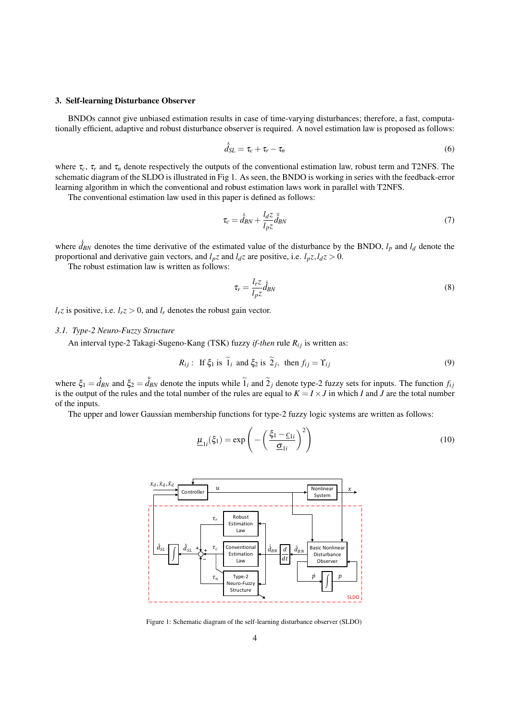## 3. Self-learning Disturbance Observer

BNDOs cannot give unbiased estimation results in case of time-varying disturbances; therefore, a fast, computationally efficient, adaptive and robust disturbance observer is required. A novel estimation law is proposed as follows:

$$
\dot{\hat{d}}_{SL} = \tau_c + \tau_r - \tau_n \tag{6}
$$

where  $\tau_c$ ,  $\tau_r$  and  $\tau_n$  denote respectively the outputs of the conventional estimation law, robust term and T2NFS. The schematic diagram of the SLDO is illustrated in Fig 1. As seen, the BNDO is working in series with the feedback-error learning algorithm in which the conventional and robust estimation laws work in parallel with T2NFS.

The conventional estimation law used in this paper is defined as follows:

$$
\tau_c = \dot{\hat{d}}_{BN} + \frac{l_d z}{l_p z} \ddot{\hat{d}}_{BN} \tag{7}
$$

where  $\hat{d}_{BN}$  denotes the time derivative of the estimated value of the disturbance by the BNDO,  $l_p$  and  $l_d$  denote the proportional and derivative gain vectors, and  $l_pz$  and  $l_dz$  are positive, i.e.  $l_pz, l_dz > 0$ .

The robust estimation law is written as follows:

$$
\tau_r = \frac{l_r z}{l_p z} \hat{d}_{BN} \tag{8}
$$

 $l_r z$  is positive, i.e.  $l_r z > 0$ , and  $l_r$  denotes the robust gain vector.

## *3.1. Type-2 Neuro-Fuzzy Structure*

An interval type-2 Takagi-Sugeno-Kang (TSK) fuzzy *if-then* rule  $R_{ij}$  is written as:

$$
R_{ij}: \text{ If } \xi_1 \text{ is } \tilde{1}_i \text{ and } \xi_2 \text{ is } \tilde{2}_j, \text{ then } f_{ij} = \Upsilon_{ij}
$$
 (9)

where  $\xi_1 = \hat{d}_{BN}$  and  $\xi_2 = \hat{d}_{BN}$  denote the inputs while  $\tilde{1}_i$  and  $\tilde{2}_j$  denote type-2 fuzzy sets for inputs. The function  $f_{ij}$  is the output of the rules and the total number of the rules are equal to  $K$ of the inputs.

The upper and lower Gaussian membership functions for type-2 fuzzy logic systems are written as follows:

$$
\underline{\mu}_{1i}(\xi_1) = \exp\left(-\left(\frac{\xi_1 - \underline{c}_{1i}}{\underline{\sigma}_{1i}}\right)^2\right) \tag{10}
$$



Figure 1: Schematic diagram of the self-learning disturbance observer (SLDO)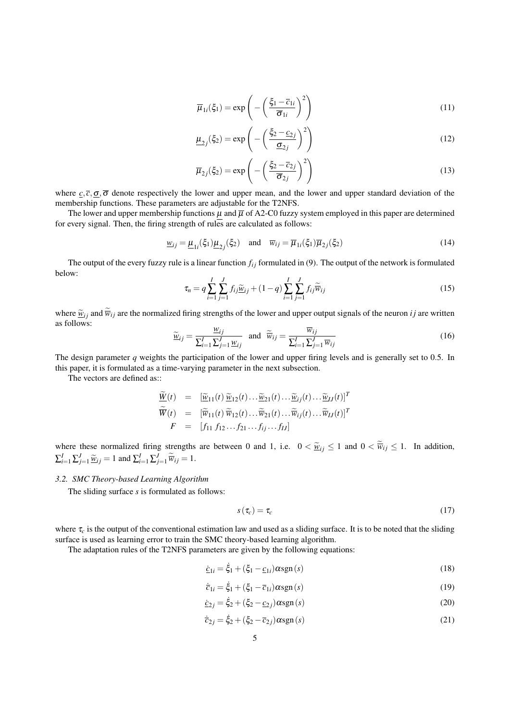$$
\overline{\mu}_{1i}(\xi_1) = \exp\left(-\left(\frac{\xi_1 - \overline{c}_{1i}}{\overline{\sigma}_{1i}}\right)^2\right) \tag{11}
$$

$$
\underline{\mu}_{2j}(\xi_2) = \exp\left(-\left(\frac{\xi_2 - \underline{c}_{2j}}{\underline{\sigma}_{2j}}\right)^2\right) \tag{12}
$$

$$
\overline{\mu}_{2j}(\xi_2) = \exp\left(-\left(\frac{\xi_2 - \overline{c}_{2j}}{\overline{\sigma}_{2j}}\right)^2\right)
$$
\n(13)

where  $c, \overline{c}, \overline{\sigma}, \overline{\sigma}$  denote respectively the lower and upper mean, and the lower and upper standard deviation of the membership functions. These parameters are adjustable for the T2NFS.

The lower and upper membership functions  $\mu$  and  $\overline{\mu}$  of A2-C0 fuzzy system employed in this paper are determined for every signal. Then, the firing strength of rules are calculated as follows:

$$
\underline{w}_{ij} = \underline{\mu}_{1i}(\xi_1)\underline{\mu}_{2j}(\xi_2) \quad \text{and} \quad \overline{w}_{ij} = \overline{\mu}_{1i}(\xi_1)\overline{\mu}_{2j}(\xi_2)
$$
 (14)

The output of the every fuzzy rule is a linear function  $f_{ij}$  formulated in (9). The output of the network is formulated below:

$$
\tau_n = q \sum_{i=1}^{I} \sum_{j=1}^{J} f_{ij} \widetilde{\underline{w}}_{ij} + (1-q) \sum_{i=1}^{I} \sum_{j=1}^{J} f_{ij} \widetilde{\overline{w}}_{ij}
$$
(15)

where  $\tilde{\psi}_{ij}$  and  $\tilde{\psi}_{ij}$  are the normalized firing strengths of the lower and upper output signals of the neuron *i j* are written as follows:

$$
\widetilde{\underline{w}}_{ij} = \frac{\underline{w}_{ij}}{\sum_{i=1}^{I} \sum_{j=1}^{J} \underline{w}_{ij}} \quad \text{and} \quad \widetilde{\overline{w}}_{ij} = \frac{\overline{w}_{ij}}{\sum_{i=1}^{I} \sum_{j=1}^{J} \overline{w}_{ij}} \tag{16}
$$

The design parameter *q* weights the participation of the lower and upper firing levels and is generally set to 0.5. In this paper, it is formulated as a time-varying parameter in the next subsection.

The vectors are defined as::

$$
\frac{\widetilde{W}(t)}{\widetilde{W}(t)} = \frac{[\widetilde{w}_{11}(t) \ \widetilde{w}_{12}(t) \dots \widetilde{w}_{21}(t) \dots \widetilde{w}_{ij}(t) \dots \widetilde{w}_{IJ}(t)]^T}{[\widetilde{w}_{11}(t) \ \widetilde{w}_{12}(t) \dots \widetilde{w}_{21}(t) \dots \widetilde{w}_{ij}(t) \dots \widetilde{w}_{IJ}(t)]^T}
$$
\n
$$
F = [f_{11} f_{12} \dots f_{21} \dots f_{ij} \dots f_{IJ}]
$$

where these normalized firing strengths are between 0 and 1, i.e.  $0 < \tilde{w}_{ij} \le 1$  and  $0 < \overline{w}_{ij} \le 1$ . In addition,  $\sum_{i=1}^{I} \sum_{j=1}^{J} \widetilde{\omega}_{ij} = 1$  and  $\sum_{i=1}^{I} \sum_{j=1}^{J} \widetilde{\overline{w}}_{ij} = 1$ .

## *3.2. SMC Theory-based Learning Algorithm*

The sliding surface *s* is formulated as follows:

$$
s(\tau_c) = \tau_c \tag{17}
$$

where  $\tau_c$  is the output of the conventional estimation law and used as a sliding surface. It is to be noted that the sliding surface is used as learning error to train the SMC theory-based learning algorithm.

The adaptation rules of the T2NFS parameters are given by the following equations:

$$
\dot{\underline{c}}_{1i} = \dot{\xi}_1 + (\xi_1 - \underline{c}_{1i}) \alpha \operatorname{sgn}(s) \tag{18}
$$

$$
\dot{\overline{c}}_{1i} = \dot{\xi}_1 + (\xi_1 - \overline{c}_{1i}) \alpha \operatorname{sgn}(s) \tag{19}
$$

$$
\dot{\underline{c}}_{2j} = \dot{\xi}_2 + (\xi_2 - \underline{c}_{2j}) \alpha \text{sgn}(s)
$$
\n(20)

$$
\dot{\bar{c}}_{2j} = \dot{\xi}_2 + (\xi_2 - \bar{c}_{2j}) \alpha \text{sgn}(s)
$$
\n(21)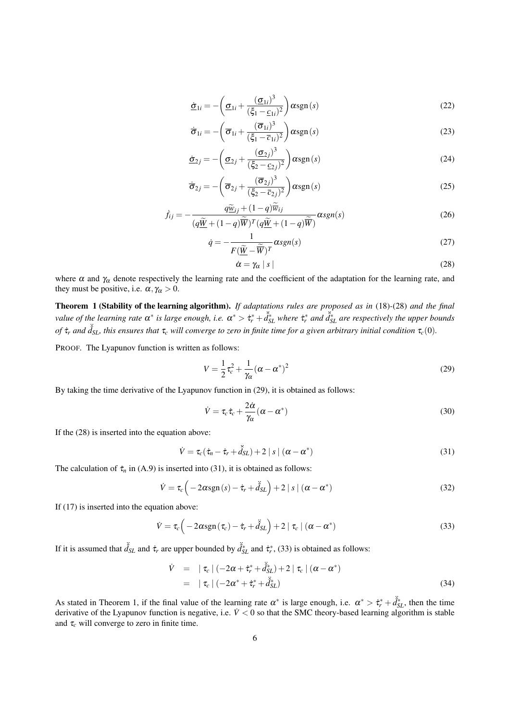$$
\underline{\dot{\sigma}}_{1i} = -\left(\underline{\sigma}_{1i} + \frac{(\underline{\sigma}_{1i})^3}{(\xi_1 - \underline{c}_{1i})^2}\right) \alpha \operatorname{sgn}(s)
$$
\n(22)

$$
\dot{\overline{\sigma}}_{1i} = -\left(\overline{\sigma}_{1i} + \frac{(\overline{\sigma}_{1i})^3}{(\xi_1 - \overline{c}_{1i})^2}\right) \alpha \operatorname{sgn}(s)
$$
\n(23)

$$
\underline{\dot{\sigma}}_{2j} = -\left(\underline{\sigma}_{2j} + \frac{(\underline{\sigma}_{2j})^3}{(\xi_2 - \underline{c}_{2j})^2}\right) \alpha \operatorname{sgn}(s)
$$
\n(24)

$$
\dot{\overline{\sigma}}_{2j} = -\left(\overline{\sigma}_{2j} + \frac{(\overline{\sigma}_{2j})^3}{(\xi_2 - \overline{c}_{2j})^2}\right) \alpha \operatorname{sgn}(s)
$$
\n(25)

$$
\dot{f}_{ij} = -\frac{q\widetilde{\underline{w}}_{ij} + (1-q)\overline{\overline{w}}_{ij}}{(q\widetilde{\underline{w}} + (1-q)\overline{\widetilde{w}})^T(q\widetilde{\underline{w}} + (1-q)\overline{\widetilde{w}})}\alpha sgn(s)
$$
\n(26)

$$
\dot{q} = -\frac{1}{F(\tilde{\underline{W}} - \tilde{\overline{W}})^T} \alpha sgn(s) \tag{27}
$$

$$
\dot{\alpha} = \gamma_{\alpha} \mid s \mid \tag{28}
$$

where  $\alpha$  and  $\gamma_\alpha$  denote respectively the learning rate and the coefficient of the adaptation for the learning rate, and they must be positive, i.e.  $\alpha, \gamma_\alpha > 0$ .

Theorem 1 (Stability of the learning algorithm). *If adaptations rules are proposed as in* (18)*-*(28) *and the final value of the learning rate*  $\alpha^*$  *is large enough, i.e.*  $\alpha^* > \dot{\tau}_r^* + \dot{\tilde{d}}_{SL}^*$  *where*  $\dot{\tau}_r^*$  *and*  $\dot{\tilde{d}}_{SL}^*$  *are respectively the upper bounds of*  $\dot{\tau}_r$  *and*  $\ddot{\dot{d}}_{SL}$ *, this ensures that*  $\tau_c$  *will converge to zero in finite time for a given arbitrary initial condition*  $\tau_c(0)$ *.* 

PROOF. The Lyapunov function is written as follows:

$$
V = \frac{1}{2}\tau_c^2 + \frac{1}{\gamma_\alpha}(\alpha - \alpha^*)^2
$$
\n(29)

By taking the time derivative of the Lyapunov function in (29), it is obtained as follows:

$$
\dot{V} = \tau_c \dot{\tau}_c + \frac{2\dot{\alpha}}{\gamma_{\alpha}} (\alpha - \alpha^*)
$$
\n(30)

If the (28) is inserted into the equation above:

$$
\dot{V} = \tau_c (\dot{\tau}_n - \dot{\tau}_r + \ddot{\hat{d}}_{SL}) + 2 |s| (\alpha - \alpha^*)
$$
\n(31)

The calculation of  $\dot{\tau}_n$  in (A.9) is inserted into (31), it is obtained as follows:

$$
\dot{V} = \tau_c \left( -2\alpha \text{sgn}(s) - \dot{\tau}_r + \ddot{\hat{d}}_{SL} \right) + 2 \mid s \mid (\alpha - \alpha^*)
$$
\n(32)

If (17) is inserted into the equation above:

$$
\dot{V} = \tau_c \left( -2\alpha \text{sgn} \left( \tau_c \right) - \dot{\tau}_r + \ddot{\hat{d}}_{SL} \right) + 2 \mid \tau_c \mid (\alpha - \alpha^*)
$$
\n(33)

If it is assumed that  $\ddot{\hat{d}}_{SL}$  and  $\dot{\tau}_r$  are upper bounded by  $\ddot{\hat{d}}_{SL}^*$  and  $\dot{\tau}_r^*$ , (33) is obtained as follows:

$$
\dot{V} = |\tau_c| (-2\alpha + \dot{\tau}_r^* + \ddot{\hat{d}}_{SL}^*) + 2 |\tau_c| (\alpha - \alpha^*)
$$
  
=  $|\tau_c| (-2\alpha^* + \dot{\tau}_r^* + \ddot{\hat{d}}_{SL}^*)$  (34)

As stated in Theorem 1, if the final value of the learning rate  $\alpha^*$  is large enough, i.e.  $\alpha^* > \dot{\tau}_r^* + \ddot{\delta}_{SL}^*$ , then the time derivative of the Lyapunov function is negative, i.e.  $\dot{V} < 0$  so that the SMC theory-based learning algorithm is stable and  $\tau_c$  will converge to zero in finite time.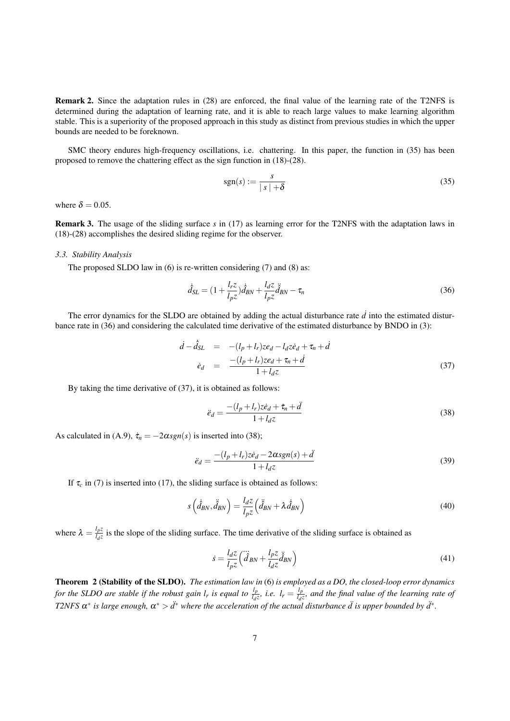Remark 2. Since the adaptation rules in (28) are enforced, the final value of the learning rate of the T2NFS is determined during the adaptation of learning rate, and it is able to reach large values to make learning algorithm stable. This is a superiority of the proposed approach in this study as distinct from previous studies in which the upper bounds are needed to be foreknown.

SMC theory endures high-frequency oscillations, i.e. chattering. In this paper, the function in (35) has been proposed to remove the chattering effect as the sign function in (18)-(28).

$$
sgn(s) := \frac{s}{|s| + \delta} \tag{35}
$$

where  $\delta = 0.05$ .

Remark 3. The usage of the sliding surface *s* in (17) as learning error for the T2NFS with the adaptation laws in (18)-(28) accomplishes the desired sliding regime for the observer.

### *3.3. Stability Analysis*

The proposed SLDO law in (6) is re-written considering (7) and (8) as:

$$
\dot{\hat{d}}_{SL} = (1 + \frac{l_r z}{l_p z}) \dot{\hat{d}}_{BN} + \frac{l_d z}{l_p z} \ddot{\hat{d}}_{BN} - \tau_n
$$
\n(36)

The error dynamics for the SLDO are obtained by adding the actual disturbance rate  $\vec{d}$  into the estimated disturbance rate in (36) and considering the calculated time derivative of the estimated disturbance by BNDO in (3):

$$
\begin{array}{rcl}\nd - \dot{d}_{SL} & = & -(l_p + l_r)ze_d - l_d z\dot{e}_d + \tau_n + \dot{d} \\
\dot{e}_d & = & \frac{-(l_p + l_r)ze_d + \tau_n + \dot{d}}{1 + l_d z}\n\end{array}\n\tag{37}
$$

By taking the time derivative of (37), it is obtained as follows:

$$
\ddot{e}_d = \frac{-(l_p + l_r)z\dot{e}_d + \dot{\tau}_n + \ddot{d}}{1 + l_d z} \tag{38}
$$

As calculated in (A.9),  $\dot{\tau}_n = -2\alpha sgn(s)$  is inserted into (38);

$$
\ddot{e}_d = \frac{-(l_p + l_r)z\dot{e}_d - 2\alpha sgn(s) + \ddot{d}}{1 + l_d z} \tag{39}
$$

If  $\tau_c$  in (7) is inserted into (17), the sliding surface is obtained as follows:

$$
s\left(\dot{\hat{d}}_{BN}, \ddot{\hat{d}}_{BN}\right) = \frac{l_d z}{l_p z} \left(\ddot{\hat{d}}_{BN} + \lambda \dot{\hat{d}}_{BN}\right)
$$
(40)

where  $\lambda = \frac{l_p z}{l_z z}$  $\frac{d\rho\zeta}{d\sigma}$  is the slope of the sliding surface. The time derivative of the sliding surface is obtained as

$$
\dot{s} = \frac{l_d z}{l_p z} \left( \dddot{\hat{d}}_{BN} + \frac{l_p z}{l_d z} \ddot{\hat{d}}_{BN} \right) \tag{41}
$$

Theorem 2 (Stability of the SLDO). *The estimation law in* (6) *is employed as a DO, the closed-loop error dynamics for the SLDO are stable if the robust gain <i>l<sub>r</sub>* is equal to  $\frac{l_p}{l_d z}$ , i.e.  $l_r = \frac{l_p}{l_d}$ *ld z , and the final value of the learning rate of T2NFS*  $\alpha^*$  *is large enough,*  $\alpha^* > d^*$  *where the acceleration of the actual disturbance*  $\ddot{d}$  *is upper bounded by*  $d^*$ *.*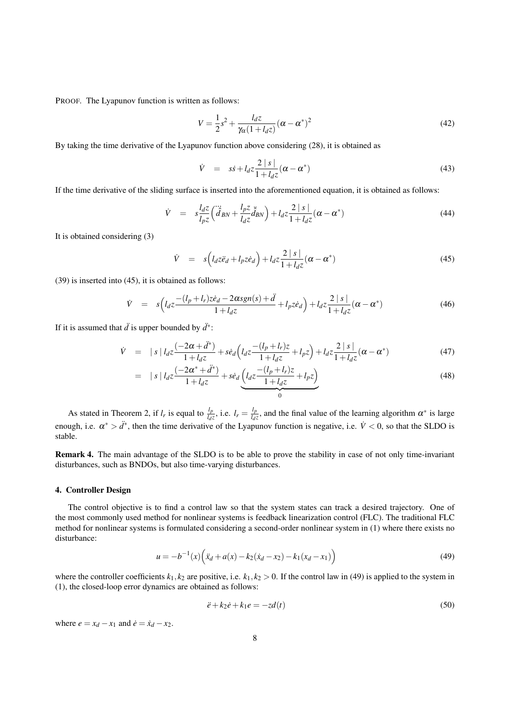PROOF. The Lyapunov function is written as follows:

$$
V = \frac{1}{2}s^2 + \frac{l_d z}{\gamma_\alpha (1 + l_d z)} (\alpha - \alpha^*)^2
$$
\n(42)

By taking the time derivative of the Lyapunov function above considering (28), it is obtained as

$$
\dot{V} = s\dot{s} + l_d z \frac{2 \mid s \mid}{1 + l_d z} (\alpha - \alpha^*)
$$
\n(43)

If the time derivative of the sliding surface is inserted into the aforementioned equation, it is obtained as follows:

$$
\dot{V} = s \frac{l_d z}{l_p z} \left( \ddot{\hat{d}}_{BN} + \frac{l_p z}{l_d z} \ddot{\hat{d}}_{BN} \right) + l_d z \frac{2 \mid s \mid}{1 + l_d z} (\alpha - \alpha^*)
$$
\n(44)

It is obtained considering (3)

$$
\dot{V} = s\left(l_d z \ddot{e}_d + l_p z \dot{e}_d\right) + l_d z \frac{2 \mid s \mid}{1 + l_d z} (\alpha - \alpha^*)
$$
\n(45)

(39) is inserted into (45), it is obtained as follows:

$$
\dot{V} = s \left( l_d z \frac{-(l_p + l_r) z \dot{e}_d - 2 \alpha s g n(s) + \ddot{d}}{1 + l_d z} + l_p z \dot{e}_d \right) + l_d z \frac{2 |s|}{1 + l_d z} (\alpha - \alpha^*)
$$
(46)

If it is assumed that  $\ddot{d}$  is upper bounded by  $\ddot{d}^*$ :

$$
\dot{V} = |s| l_d z \frac{(-2\alpha + d^*)}{1 + l_d z} + s\dot{e}_d \left( l_d z \frac{-(l_p + l_r)z}{1 + l_d z} + l_p z \right) + l_d z \frac{2 |s|}{1 + l_d z} (\alpha - \alpha^*)
$$
(47)

$$
= |s| l_d z \frac{(-2\alpha^* + \ddot{d}^*)}{1 + l_d z} + s\dot{e}_d \underbrace{\left(l_d z \frac{-(l_p + l_r)z}{1 + l_d z} + l_p z\right)}_{0}
$$
(48)

As stated in Theorem 2, if  $l_r$  is equal to  $\frac{l_p}{l_d z}$ , i.e.  $l_r = \frac{l_p}{l_d z}$  $\frac{l_p}{l_d z}$ , and the final value of the learning algorithm  $\alpha^*$  is large enough, i.e.  $\alpha^* > d^*$ , then the time derivative of the Lyapunov function is negative, i.e.  $\dot{V} < 0$ , so that the SLDO is stable.

Remark 4. The main advantage of the SLDO is to be able to prove the stability in case of not only time-invariant disturbances, such as BNDOs, but also time-varying disturbances.

#### 4. Controller Design

The control objective is to find a control law so that the system states can track a desired trajectory. One of the most commonly used method for nonlinear systems is feedback linearization control (FLC). The traditional FLC method for nonlinear systems is formulated considering a second-order nonlinear system in (1) where there exists no disturbance:

$$
u = -b^{-1}(x)\left(\ddot{x}_d + a(x) - k_2(\dot{x}_d - x_2) - k_1(x_d - x_1)\right)
$$
\n(49)

where the controller coefficients  $k_1, k_2$  are positive, i.e.  $k_1, k_2 > 0$ . If the control law in (49) is applied to the system in (1), the closed-loop error dynamics are obtained as follows:

$$
\ddot{e} + k_2 \dot{e} + k_1 e = -z d(t) \tag{50}
$$

where  $e = x_d - x_1$  and  $\dot{e} = \dot{x}_d - x_2$ .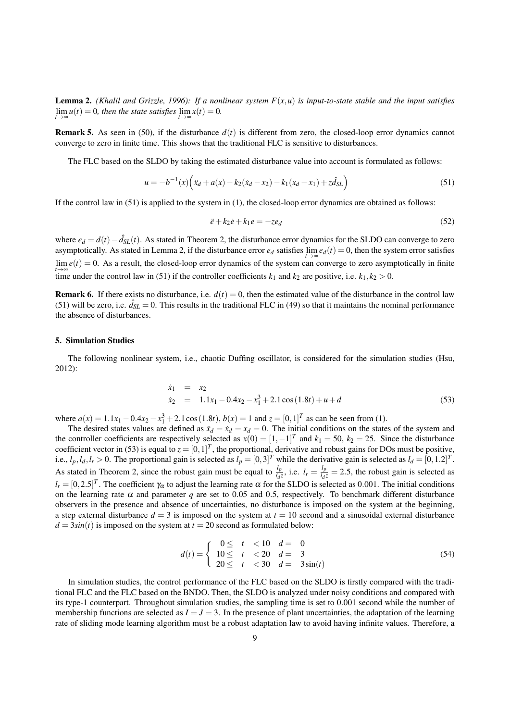**Lemma 2.** *(Khalil and Grizzle, 1996): If a nonlinear system*  $F(x, u)$  *is input-to-state stable and the input satisfies*  $\lim_{t \to \infty} u(t) = 0$ , then the state satisfies  $\lim_{t \to \infty} x(t) = 0$ .

**Remark 5.** As seen in (50), if the disturbance  $d(t)$  is different from zero, the closed-loop error dynamics cannot converge to zero in finite time. This shows that the traditional FLC is sensitive to disturbances.

The FLC based on the SLDO by taking the estimated disturbance value into account is formulated as follows:

$$
u = -b^{-1}(x)\left(\ddot{x}_d + a(x) - k_2(\dot{x}_d - x_2) - k_1(x_d - x_1) + z\hat{d}_{SL}\right)
$$
\n(51)

If the control law in  $(51)$  is applied to the system in  $(1)$ , the closed-loop error dynamics are obtained as follows:

$$
\ddot{e} + k_2 \dot{e} + k_1 e = -ze_d \tag{52}
$$

where  $e_d = d(t) - \hat{d}_{SL}(t)$ . As stated in Theorem 2, the disturbance error dynamics for the SLDO can converge to zero asymptotically. As stated in Lemma 2, if the disturbance error  $e_d$  satisfies  $\lim_{t\to\infty}e_d(t)=0$ , then the system error satisfies  $\lim_{t \to \infty} e(t) = 0$ . As a result, the closed-loop error dynamics of the system can converge to zero asymptotically in finite t<sub>t→∞</sub> time under the control law in (51) if the controller coefficients  $k_1$  and  $k_2$  are positive, i.e.  $k_1, k_2 > 0$ .

**Remark 6.** If there exists no disturbance, i.e.  $d(t) = 0$ , then the estimated value of the disturbance in the control law (51) will be zero, i.e.  $\hat{d}_{SL} = 0$ . This results in the traditional FLC in (49) so that it maintains the nominal performance the absence of disturbances.

## 5. Simulation Studies

The following nonlinear system, i.e., chaotic Duffing oscillator, is considered for the simulation studies (Hsu, 2012):

$$
\dot{x}_1 = x_2
$$
  
\n
$$
\dot{x}_2 = 1.1x_1 - 0.4x_2 - x_1^3 + 2.1\cos(1.8t) + u + d
$$
\n(53)

where  $a(x) = 1.1x_1 - 0.4x_2 - x_1^3 + 2.1\cos(1.8t)$ ,  $b(x) = 1$  and  $z = [0, 1]^T$  as can be seen from (1).

The desired states values are defined as  $\ddot{x}_d = \dot{x}_d = x_d = 0$ . The initial conditions on the states of the system and the controller coefficients are respectively selected as  $x(0) = [1, -1]^T$  and  $k_1 = 50$ ,  $k_2 = 25$ . Since the disturbance coefficient vector in (53) is equal to  $z = [0, 1]^T$ , the proportional, derivative and robust gains for DOs must be positive, i.e.,  $l_p$ ,  $l_d$ ,  $l_r > 0$ . The proportional gain is selected as  $l_p = [0, 3]^T$  while the derivative gain is selected as  $l_d = [0, 1.2]^T$ . As stated in Theorem 2, since the robust gain must be equal to  $\frac{l_p}{l_d z}$ , i.e.  $l_r = \frac{l_p}{l_d}$  $\frac{l_p}{l_d z}$  = 2.5, the robust gain is selected as  $l_r = [0, 2.5]^T$ . The coefficient  $\gamma_\alpha$  to adjust the learning rate  $\alpha$  for the SLDO is selected as 0.001. The initial conditions on the learning rate  $\alpha$  and parameter *q* are set to 0.05 and 0.5, respectively. To benchmark different disturbance observers in the presence and absence of uncertainties, no disturbance is imposed on the system at the beginning, a step external disturbance  $d = 3$  is imposed on the system at  $t = 10$  second and a sinusoidal external disturbance  $d = 3\sin(t)$  is imposed on the system at  $t = 20$  second as formulated below:

$$
d(t) = \begin{cases} 0 \leq t < 10 \quad d = 0\\ 10 \leq t < 20 \quad d = 3\\ 20 \leq t < 30 \quad d = 3\sin(t) \end{cases} \tag{54}
$$

In simulation studies, the control performance of the FLC based on the SLDO is firstly compared with the traditional FLC and the FLC based on the BNDO. Then, the SLDO is analyzed under noisy conditions and compared with its type-1 counterpart. Throughout simulation studies, the sampling time is set to 0.001 second while the number of membership functions are selected as  $I = J = 3$ . In the presence of plant uncertainties, the adaptation of the learning rate of sliding mode learning algorithm must be a robust adaptation law to avoid having infinite values. Therefore, a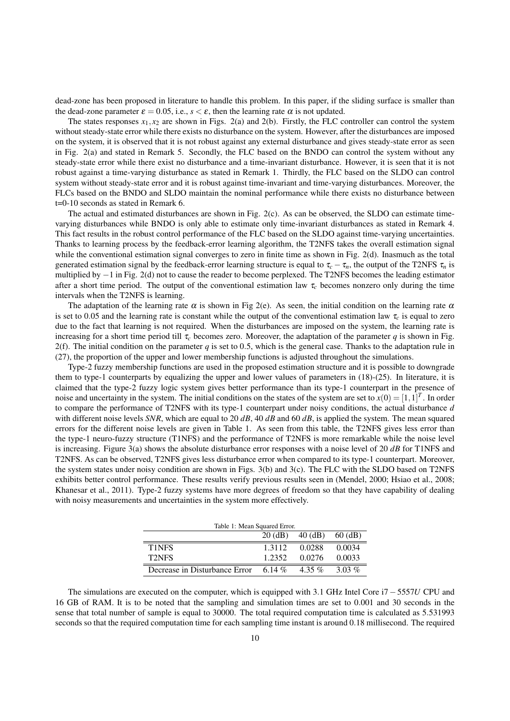dead-zone has been proposed in literature to handle this problem. In this paper, if the sliding surface is smaller than the dead-zone parameter  $\varepsilon = 0.05$ , i.e.,  $s < \varepsilon$ , then the learning rate  $\alpha$  is not updated.

The states responses  $x_1, x_2$  are shown in Figs. 2(a) and 2(b). Firstly, the FLC controller can control the system without steady-state error while there exists no disturbance on the system. However, after the disturbances are imposed on the system, it is observed that it is not robust against any external disturbance and gives steady-state error as seen in Fig. 2(a) and stated in Remark 5. Secondly, the FLC based on the BNDO can control the system without any steady-state error while there exist no disturbance and a time-invariant disturbance. However, it is seen that it is not robust against a time-varying disturbance as stated in Remark 1. Thirdly, the FLC based on the SLDO can control system without steady-state error and it is robust against time-invariant and time-varying disturbances. Moreover, the FLCs based on the BNDO and SLDO maintain the nominal performance while there exists no disturbance between t=0-10 seconds as stated in Remark 6.

The actual and estimated disturbances are shown in Fig. 2(c). As can be observed, the SLDO can estimate timevarying disturbances while BNDO is only able to estimate only time-invariant disturbances as stated in Remark 4. This fact results in the robust control performance of the FLC based on the SLDO against time-varying uncertainties. Thanks to learning process by the feedback-error learning algorithm, the T2NFS takes the overall estimation signal while the conventional estimation signal converges to zero in finite time as shown in Fig. 2(d). Inasmuch as the total generated estimation signal by the feedback-error learning structure is equal to  $\tau_c - \tau_n$ , the output of the T2NFS  $\tau_n$  is multiplied by −1 in Fig. 2(d) not to cause the reader to become perplexed. The T2NFS becomes the leading estimator after a short time period. The output of the conventional estimation law τ*<sup>c</sup>* becomes nonzero only during the time intervals when the T2NFS is learning.

The adaptation of the learning rate  $\alpha$  is shown in Fig 2(e). As seen, the initial condition on the learning rate  $\alpha$ is set to 0.05 and the learning rate is constant while the output of the conventional estimation law  $\tau_c$  is equal to zero due to the fact that learning is not required. When the disturbances are imposed on the system, the learning rate is increasing for a short time period till  $\tau_c$  becomes zero. Moreover, the adaptation of the parameter *q* is shown in Fig. 2(f). The initial condition on the parameter  $q$  is set to 0.5, which is the general case. Thanks to the adaptation rule in (27), the proportion of the upper and lower membership functions is adjusted throughout the simulations.

Type-2 fuzzy membership functions are used in the proposed estimation structure and it is possible to downgrade them to type-1 counterparts by equalizing the upper and lower values of parameters in  $(18)-(25)$ . In literature, it is claimed that the type-2 fuzzy logic system gives better performance than its type-1 counterpart in the presence of noise and uncertainty in the system. The initial conditions on the states of the system are set to  $x(0) = [1, 1]^T$ . In order to compare the performance of T2NFS with its type-1 counterpart under noisy conditions, the actual disturbance *d* with different noise levels *SNR*, which are equal to 20 *dB*, 40 *dB* and 60 *dB*, is applied the system. The mean squared errors for the different noise levels are given in Table 1. As seen from this table, the T2NFS gives less error than the type-1 neuro-fuzzy structure (T1NFS) and the performance of T2NFS is more remarkable while the noise level is increasing. Figure 3(a) shows the absolute disturbance error responses with a noise level of 20 *dB* for T1NFS and T2NFS. As can be observed, T2NFS gives less disturbance error when compared to its type-1 counterpart. Moreover, the system states under noisy condition are shown in Figs. 3(b) and 3(c). The FLC with the SLDO based on T2NFS exhibits better control performance. These results verify previous results seen in (Mendel, 2000; Hsiao et al., 2008; Khanesar et al., 2011). Type-2 fuzzy systems have more degrees of freedom so that they have capability of dealing with noisy measurements and uncertainties in the system more effectively.

| Table 1: Mean Squared Error.  |          |           |          |
|-------------------------------|----------|-----------|----------|
|                               | 20 (dB)  | 40 (dB)   | 60 (dB)  |
| T1NFS                         | 1.3112   | 0.0288    | 0.0034   |
| <b>T2NES</b>                  | 1.2352   | 0.0276    | 0.0033   |
| Decrease in Disturbance Error | 6.14 $%$ | 4.35 $\%$ | 3.03 $%$ |

The simulations are executed on the computer, which is equipped with 3.1 GHz Intel Core i7−5557*U* CPU and 16 GB of RAM. It is to be noted that the sampling and simulation times are set to 0.001 and 30 seconds in the sense that total number of sample is equal to 30000. The total required computation time is calculated as 5.531993 seconds so that the required computation time for each sampling time instant is around 0.18 millisecond. The required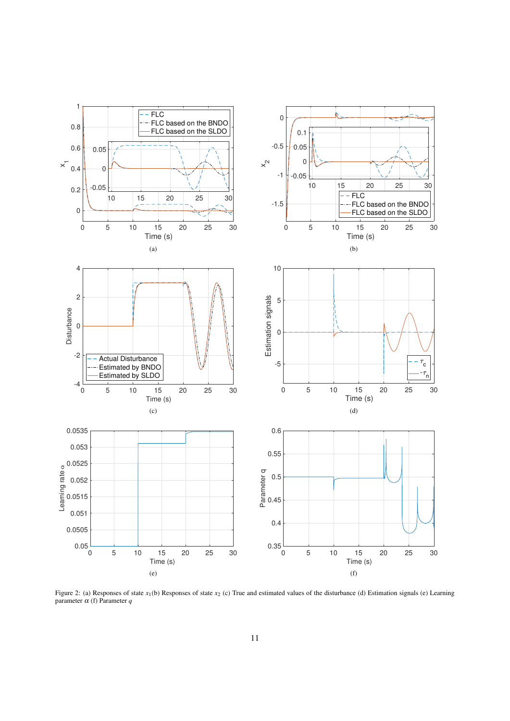

Figure 2: (a) Responses of state *x*<sub>1</sub>(b) Responses of state *x*<sub>2</sub> (c) True and estimated values of the disturbance (d) Estimation signals (e) Learning parameter α (f) Parameter *q*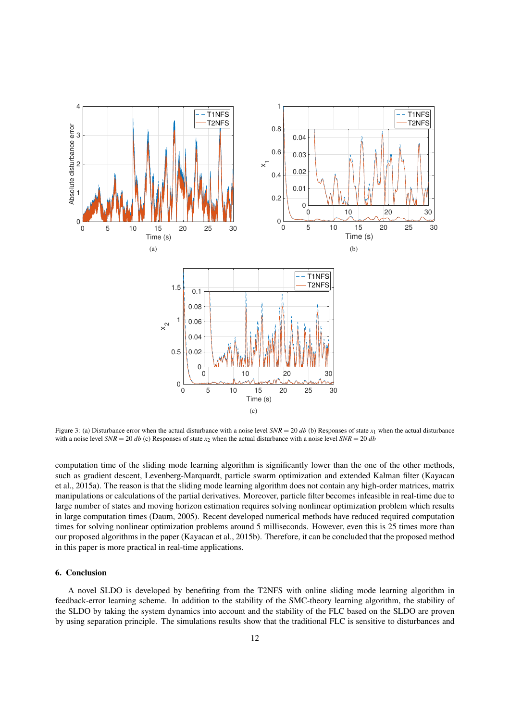

Figure 3: (a) Disturbance error when the actual disturbance with a noise level  $SNR = 20$  db (b) Responses of state  $x_1$  when the actual disturbance with a noise level  $SNR = 20 db$  (c) Responses of state  $x_2$  when the actual disturbance with a noise level  $SNR = 20 db$ 

computation time of the sliding mode learning algorithm is significantly lower than the one of the other methods, such as gradient descent, Levenberg-Marquardt, particle swarm optimization and extended Kalman filter (Kayacan et al., 2015a). The reason is that the sliding mode learning algorithm does not contain any high-order matrices, matrix manipulations or calculations of the partial derivatives. Moreover, particle filter becomes infeasible in real-time due to large number of states and moving horizon estimation requires solving nonlinear optimization problem which results in large computation times (Daum, 2005). Recent developed numerical methods have reduced required computation times for solving nonlinear optimization problems around 5 milliseconds. However, even this is 25 times more than our proposed algorithms in the paper (Kayacan et al., 2015b). Therefore, it can be concluded that the proposed method in this paper is more practical in real-time applications.

## 6. Conclusion

A novel SLDO is developed by benefiting from the T2NFS with online sliding mode learning algorithm in feedback-error learning scheme. In addition to the stability of the SMC-theory learning algorithm, the stability of the SLDO by taking the system dynamics into account and the stability of the FLC based on the SLDO are proven by using separation principle. The simulations results show that the traditional FLC is sensitive to disturbances and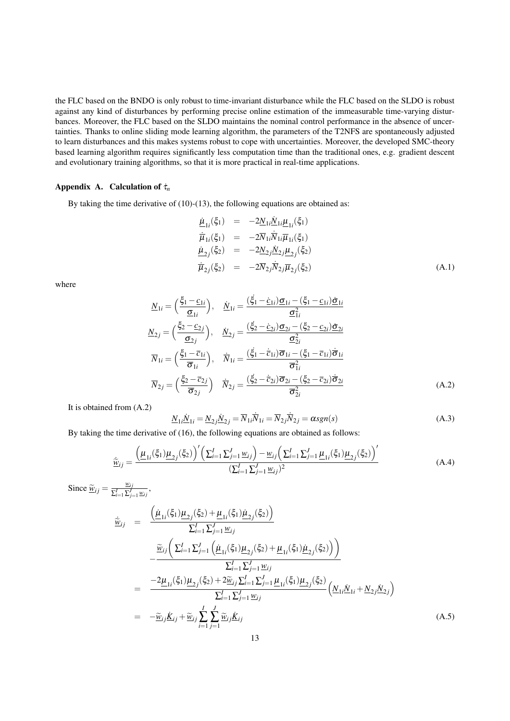the FLC based on the BNDO is only robust to time-invariant disturbance while the FLC based on the SLDO is robust against any kind of disturbances by performing precise online estimation of the immeasurable time-varying disturbances. Moreover, the FLC based on the SLDO maintains the nominal control performance in the absence of uncertainties. Thanks to online sliding mode learning algorithm, the parameters of the T2NFS are spontaneously adjusted to learn disturbances and this makes systems robust to cope with uncertainties. Moreover, the developed SMC-theory based learning algorithm requires significantly less computation time than the traditional ones, e.g. gradient descent and evolutionary training algorithms, so that it is more practical in real-time applications.

## Appendix A. Calculation of  $\dot{\tau}_n$

By taking the time derivative of  $(10)-(13)$ , the following equations are obtained as:

$$
\begin{array}{rcl}\n\underline{\mu}_{1i}(\xi_1) & = & -2\underline{N}_{1i}\underline{N}_{1i}\underline{\mu}_{1i}(\xi_1) \\
\dot{\overline{\mu}}_{1i}(\xi_1) & = & -2\overline{N}_{1i}\dot{\overline{N}}_{1i}\overline{\mu}_{1i}(\xi_1) \\
\underline{\mu}_{2j}(\xi_2) & = & -2\underline{N}_{2j}\underline{N}_{2j}\underline{\mu}_{2j}(\xi_2) \\
\dot{\overline{\mu}}_{2j}(\xi_2) & = & -2\overline{N}_{2j}\dot{\overline{N}}_{2j}\overline{\mu}_{2j}(\xi_2)\n\end{array} \tag{A.1}
$$

where

$$
\underline{N}_{1i} = \left(\frac{\xi_1 - \underline{c}_{1i}}{\underline{\sigma}_{1i}}\right), \quad \underline{N}_{1i} = \frac{(\xi_1 - \underline{c}_{1i})\underline{\sigma}_{1i} - (\xi_1 - \underline{c}_{1i})\underline{\sigma}_{1i}}{\underline{\sigma}_{1i}^2}
$$
\n
$$
\underline{N}_{2j} = \left(\frac{\xi_2 - \underline{c}_{2j}}{\underline{\sigma}_{2j}}\right), \quad \underline{N}_{2j} = \frac{(\xi_2 - \underline{c}_{2i})\underline{\sigma}_{2i} - (\xi_2 - \underline{c}_{2i})\underline{\sigma}_{2i}}{\underline{\sigma}_{2i}^2}
$$
\n
$$
\overline{N}_{1i} = \left(\frac{\xi_1 - \overline{c}_{1i}}{\overline{\sigma}_{1i}}\right), \quad \overline{N}_{1i} = \frac{(\xi_1 - \overline{c}_{1i})\overline{\sigma}_{1i} - (\xi_1 - \overline{c}_{1i})\overline{\sigma}_{1i}}{\overline{\sigma}_{1i}^2}
$$
\n
$$
\overline{N}_{2j} = \left(\frac{\xi_2 - \overline{c}_{2j}}{\overline{\sigma}_{2j}}\right) \quad \overline{N}_{2j} = \frac{(\xi_2 - \overline{c}_{2i})\overline{\sigma}_{2i} - (\xi_2 - \overline{c}_{2i})\overline{\sigma}_{2i}}{\overline{\sigma}_{2i}^2}
$$
\n(A.2)

It is obtained from (A.2)

$$
\underline{N}_{1i}\underline{\dot{N}}_{1i} = \underline{N}_{2j}\underline{\dot{N}}_{2j} = \overline{N}_{1i}\overline{\dot{N}}_{1i} = \overline{N}_{2j}\overline{\dot{N}}_{2j} = \alpha sgn(s)
$$
\n(A.3)

By taking the time derivative of (16), the following equations are obtained as follows:

$$
\tilde{\underline{w}}_{ij} = \frac{\left(\underline{\mu}_{1i}(\xi_1)\underline{\mu}_{2j}(\xi_2)\right)' \left(\sum_{i=1}^I \sum_{j=1}^J \underline{w}_{ij}\right) - \underline{w}_{ij} \left(\sum_{i=1}^I \sum_{j=1}^J \underline{\mu}_{1i}(\xi_1)\underline{\mu}_{2j}(\xi_2)\right)'}{\left(\sum_{i=1}^I \sum_{j=1}^J \underline{w}_{ij}\right)^2}
$$
\n(A.4)

Since  $\frac{\widetilde{w}_{ij}}{\sum_{i=1}^{I}\sum_{j=1}^{J}}$  $\frac{w_{ij}}{\sum_{i=1}^{I}\sum_{j=1}^{J}w_{ij}},$ 

$$
\begin{split}\n\dot{\tilde{\mathbf{w}}}_{ij} &= \frac{\left(\underline{\mu}_{1i}(\xi_{1})\underline{\mu}_{2j}(\xi_{2}) + \underline{\mu}_{1i}(\xi_{1})\underline{\mu}_{2j}(\xi_{2})\right)}{\sum_{i=1}^{I} \sum_{j=1}^{J} \underline{w}_{ij}} \\
&\quad -\frac{\tilde{\mathbf{w}}_{ij}\left(\sum_{i=1}^{I} \sum_{j=1}^{J} \left(\underline{\mu}_{1i}(\xi_{1})\underline{\mu}_{2j}(\xi_{2}) + \underline{\mu}_{1i}(\xi_{1})\underline{\mu}_{2j}(\xi_{2})\right)\right)}{\sum_{i=1}^{I} \sum_{j=1}^{J} \underline{w}_{ij}} \\
&= \frac{-2\underline{\mu}_{1i}(\xi_{1})\underline{\mu}_{2j}(\xi_{2}) + 2\tilde{\mathbf{w}}_{ij}\sum_{i=1}^{I} \sum_{j=1}^{J} \underline{\mu}_{1i}(\xi_{1})\underline{\mu}_{2j}(\xi_{2})}{\sum_{i=1}^{I} \sum_{j=1}^{J} \underline{w}_{ij}} \left(\underline{N}_{1i}\dot{\underline{N}}_{1i} + \underline{N}_{2j}\dot{\underline{N}}_{2j}\right) \\
&= -\tilde{\mathbf{w}}_{ij}\dot{\underline{K}}_{ij} + \tilde{\mathbf{w}}_{ij}\sum_{i=1}^{I} \sum_{j=1}^{J} \tilde{\mathbf{w}}_{ij}\dot{\underline{K}}_{ij}\n\end{split} \tag{A.5}
$$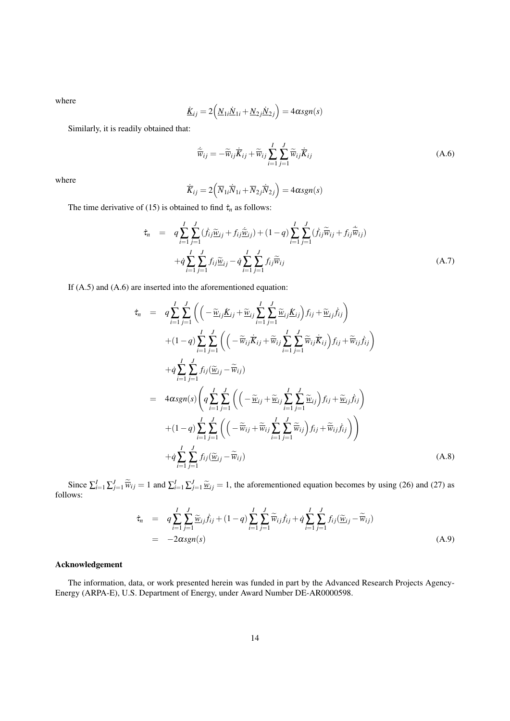where

$$
\underline{\dot{K}}_{ij} = 2\left(\underline{N}_{1i}\underline{\dot{N}}_{1i} + \underline{N}_{2j}\underline{\dot{N}}_{2j}\right) = 4\alpha sgn(s)
$$

Similarly, it is readily obtained that:

$$
\tilde{\overline{w}}_{ij} = -\tilde{\overline{w}}_{ij}\dot{\overline{K}}_{ij} + \tilde{\overline{w}}_{ij}\sum_{i=1}^{I}\sum_{j=1}^{J}\tilde{\overline{w}}_{ij}\dot{\overline{K}}_{ij}
$$
\n(A.6)

where

$$
\dot{\overline{K}}_{ij} = 2\left(\overline{N}_{1i}\dot{\overline{N}}_{1i} + \overline{N}_{2j}\dot{\overline{N}}_{2j}\right) = 4\alpha sgn(s)
$$

The time derivative of (15) is obtained to find  $\dot{\tau}_n$  as follows:

$$
\dot{\tau}_n = q \sum_{i=1}^I \sum_{j=1}^J (\dot{f}_{ij} \tilde{\underline{w}}_{ij} + f_{ij} \dot{\tilde{\underline{w}}}_{ij}) + (1-q) \sum_{i=1}^I \sum_{j=1}^J (\dot{f}_{ij} \tilde{\overline{w}}_{ij} + f_{ij} \dot{\tilde{\overline{w}}}_{ij})
$$

$$
+ \dot{q} \sum_{i=1}^I \sum_{j=1}^J f_{ij} \tilde{\underline{w}}_{ij} - \dot{q} \sum_{i=1}^I \sum_{j=1}^J f_{ij} \tilde{\overline{w}}_{ij}
$$
(A.7)

If (A.5) and (A.6) are inserted into the aforementioned equation:

$$
\begin{split}\n\dot{\tau}_{n} &= q \sum_{i=1}^{I} \sum_{j=1}^{J} \left( \left( -\frac{\tilde{w}_{ij}}{\tilde{K}_{ij}} + \frac{\tilde{w}_{ij}}{\tilde{K}_{ij}} \sum_{i=1}^{I} \sum_{j=1}^{J} \frac{\tilde{w}_{ij} \dot{K}_{ij}}{\tilde{K}_{ij}} \right) f_{ij} + \frac{\tilde{w}_{ij}}{\tilde{K}_{ij}} \right) \\
&+ (1-q) \sum_{i=1}^{I} \sum_{j=1}^{J} \left( \left( -\frac{\tilde{w}_{ij}}{\tilde{K}_{ij}} + \frac{\tilde{w}_{ij}}{\tilde{K}_{ij}} \sum_{i=1}^{I} \sum_{j=1}^{J} \tilde{w}_{ij} \dot{K}_{ij} \right) f_{ij} + \tilde{w}_{ij} f_{ij} \right) \\
&+ \dot{q} \sum_{i=1}^{I} \sum_{j=1}^{J} f_{ij} (\tilde{w}_{ij} - \tilde{w}_{ij}) \\
&= 4 \alpha sgn(s) \left( q \sum_{i=1}^{I} \sum_{j=1}^{J} \left( \left( -\frac{\tilde{w}_{ij}}{\tilde{W}_{ij}} + \frac{\tilde{w}_{ij}}{\tilde{K}_{ij}} \sum_{i=1}^{I} \sum_{j=1}^{J} \tilde{w}_{ij} \right) f_{ij} + \tilde{w}_{ij} f_{ij} \right) \\
&+ (1-q) \sum_{i=1}^{I} \sum_{j=1}^{J} \left( \left( -\frac{\tilde{w}_{ij}}{\tilde{W}_{ij}} + \frac{\tilde{w}_{ij}}{\tilde{W}_{ij}} \sum_{i=1}^{I} \sum_{j=1}^{J} \tilde{w}_{ij} \right) f_{ij} + \tilde{w}_{ij} f_{ij} \right) \right) \\
&+ \dot{q} \sum_{i=1}^{I} \sum_{j=1}^{J} f_{ij} (\tilde{w}_{ij} - \tilde{w}_{ij}) \tag{A.8}\n\end{split}
$$

Since  $\sum_{i=1}^{I} \sum_{j=1}^{J} \widetilde{w}_{ij} = 1$  and  $\sum_{i=1}^{I} \sum_{j=1}^{J} \widetilde{w}_{ij} = 1$ , the aforementioned equation becomes by using (26) and (27) as follows:

$$
\dot{\tau}_n = q \sum_{i=1}^I \sum_{j=1}^J \widetilde{\omega}_{ij} \dot{f}_{ij} + (1-q) \sum_{i=1}^I \sum_{j=1}^J \widetilde{\overline{\omega}}_{ij} \dot{f}_{ij} + \dot{q} \sum_{i=1}^I \sum_{j=1}^J f_{ij} (\widetilde{\underline{\omega}}_{ij} - \widetilde{\overline{\omega}}_{ij})
$$
\n
$$
= -2 \alpha sgn(s) \tag{A.9}
$$

# Acknowledgement

The information, data, or work presented herein was funded in part by the Advanced Research Projects Agency-Energy (ARPA-E), U.S. Department of Energy, under Award Number DE-AR0000598.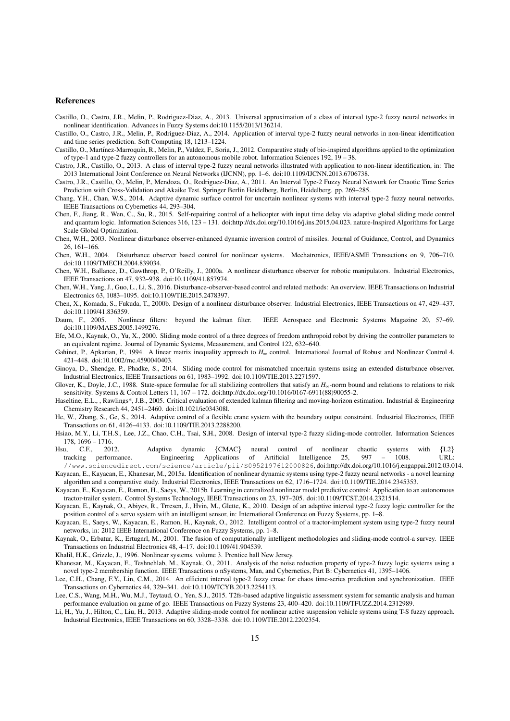#### References

- Castillo, O., Castro, J.R., Melin, P., Rodriguez-Diaz, A., 2013. Universal approximation of a class of interval type-2 fuzzy neural networks in nonlinear identification. Advances in Fuzzy Systems doi:10.1155/2013/136214.
- Castillo, O., Castro, J.R., Melin, P., Rodriguez-Diaz, A., 2014. Application of interval type-2 fuzzy neural networks in non-linear identification and time series prediction. Soft Computing 18, 1213–1224.
- Castillo, O., Martínez-Marroquín, R., Melin, P., Valdez, F., Soria, J., 2012. Comparative study of bio-inspired algorithms applied to the optimization of type-1 and type-2 fuzzy controllers for an autonomous mobile robot. Information Sciences 192, 19 – 38.
- Castro, J.R., Castillo, O., 2013. A class of interval type-2 fuzzy neural networks illustrated with application to non-linear identification, in: The 2013 International Joint Conference on Neural Networks (IJCNN), pp. 1–6. doi:10.1109/IJCNN.2013.6706738.
- Castro, J.R., Castillo, O., Melin, P., Mendoza, O., Rodriguez-Diaz, A., 2011. An Interval Type-2 Fuzzy Neural Network for Chaotic Time Series Prediction with Cross-Validation and Akaike Test. Springer Berlin Heidelberg, Berlin, Heidelberg. pp. 269–285.

Chang, Y.H., Chan, W.S., 2014. Adaptive dynamic surface control for uncertain nonlinear systems with interval type-2 fuzzy neural networks. IEEE Transactions on Cybernetics 44, 293–304.

Chen, F., Jiang, R., Wen, C., Su, R., 2015. Self-repairing control of a helicopter with input time delay via adaptive global sliding mode control and quantum logic. Information Sciences 316, 123 – 131. doi:http://dx.doi.org/10.1016/j.ins.2015.04.023. nature-Inspired Algorithms for Large Scale Global Optimization.

Chen, W.H., 2003. Nonlinear disturbance observer-enhanced dynamic inversion control of missiles. Journal of Guidance, Control, and Dynamics 26, 161–166.

- Chen, W.H., 2004. Disturbance observer based control for nonlinear systems. Mechatronics, IEEE/ASME Transactions on 9, 706–710. doi:10.1109/TMECH.2004.839034.
- Chen, W.H., Ballance, D., Gawthrop, P., O'Reilly, J., 2000a. A nonlinear disturbance observer for robotic manipulators. Industrial Electronics, IEEE Transactions on 47, 932–938. doi:10.1109/41.857974.
- Chen, W.H., Yang, J., Guo, L., Li, S., 2016. Disturbance-observer-based control and related methods: An overview. IEEE Transactions on Industrial Electronics 63, 1083–1095. doi:10.1109/TIE.2015.2478397.

Chen, X., Komada, S., Fukuda, T., 2000b. Design of a nonlinear disturbance observer. Industrial Electronics, IEEE Transactions on 47, 429–437. doi:10.1109/41.836359.

- Daum, F., 2005. Nonlinear filters: beyond the kalman filter. IEEE Aerospace and Electronic Systems Magazine 20, 57–69. doi:10.1109/MAES.2005.1499276.
- Efe, M.O., Kaynak, O., Yu, X., 2000. Sliding mode control of a three degrees of freedom anthropoid robot by driving the controller parameters to an equivalent regime. Journal of Dynamic Systems, Measurement, and Control 122, 632–640.
- Gahinet, P., Apkarian, P., 1994. A linear matrix inequality approach to *H*<sup>∞</sup> control. International Journal of Robust and Nonlinear Control 4, 421–448. doi:10.1002/rnc.4590040403.
- Ginoya, D., Shendge, P., Phadke, S., 2014. Sliding mode control for mismatched uncertain systems using an extended disturbance observer. Industrial Electronics, IEEE Transactions on 61, 1983–1992. doi:10.1109/TIE.2013.2271597.
- Glover, K., Doyle, J.C., 1988. State-space formulae for all stabilizing controllers that satisfy an  $H_{\infty}$ -norm bound and relations to relations to risk sensitivity. Systems & Control Letters 11, 167 – 172. doi:http://dx.doi.org/10.1016/0167-6911(88)90055-2.
- Haseltine, E.L., , Rawlings\*, J.B., 2005. Critical evaluation of extended kalman filtering and moving-horizon estimation. Industrial & Engineering Chemistry Research 44, 2451–2460. doi:10.1021/ie034308l.
- He, W., Zhang, S., Ge, S., 2014. Adaptive control of a flexible crane system with the boundary output constraint. Industrial Electronics, IEEE Transactions on 61, 4126–4133. doi:10.1109/TIE.2013.2288200.
- Hsiao, M.Y., Li, T.H.S., Lee, J.Z., Chao, C.H., Tsai, S.H., 2008. Design of interval type-2 fuzzy sliding-mode controller. Information Sciences 178, 1696 – 1716.

Hsu, C.F., 2012. Adaptive dynamic {CMAC} neural control of nonlinear chaotic systems with {L2} tracking performance. Engineering Applications of Artificial Intelligence 25, 997 – 1008. URL:

- //www.sciencedirect.com/science/article/pii/S0952197612000826, doi:http://dx.doi.org/10.1016/j.engappai.2012.03.014. Kayacan, E., Kayacan, E., Khanesar, M., 2015a. Identification of nonlinear dynamic systems using type-2 fuzzy neural networks - a novel learning algorithm and a comparative study. Industrial Electronics, IEEE Transactions on 62, 1716–1724. doi:10.1109/TIE.2014.2345353.
- Kayacan, E., Kayacan, E., Ramon, H., Saeys, W., 2015b. Learning in centralized nonlinear model predictive control: Application to an autonomous tractor-trailer system. Control Systems Technology, IEEE Transactions on 23, 197–205. doi:10.1109/TCST.2014.2321514.
- Kayacan, E., Kaynak, O., Abiyev, R., Trresen, J., Hvin, M., Glette, K., 2010. Design of an adaptive interval type-2 fuzzy logic controller for the position control of a servo system with an intelligent sensor, in: International Conference on Fuzzy Systems, pp. 1–8.
- Kayacan, E., Saeys, W., Kayacan, E., Ramon, H., Kaynak, O., 2012. Intelligent control of a tractor-implement system using type-2 fuzzy neural networks, in: 2012 IEEE International Conference on Fuzzy Systems, pp. 1–8.
- Kaynak, O., Erbatur, K., Ertugnrl, M., 2001. The fusion of computationally intelligent methodologies and sliding-mode control-a survey. IEEE Transactions on Industrial Electronics 48, 4–17. doi:10.1109/41.904539.

Khalil, H.K., Grizzle, J., 1996. Nonlinear systems. volume 3. Prentice hall New Jersey.

- Khanesar, M., Kayacan, E., Teshnehlab, M., Kaynak, O., 2011. Analysis of the noise reduction property of type-2 fuzzy logic systems using a novel type-2 membership function. IEEE Transactions o nSystems, Man, and Cybernetics, Part B: Cybernetics 41, 1395–1406.
- Lee, C.H., Chang, F.Y., Lin, C.M., 2014. An efficient interval type-2 fuzzy cmac for chaos time-series prediction and synchronization. IEEE Transactions on Cybernetics 44, 329–341. doi:10.1109/TCYB.2013.2254113.
- Lee, C.S., Wang, M.H., Wu, M.J., Teytaud, O., Yen, S.J., 2015. T2fs-based adaptive linguistic assessment system for semantic analysis and human performance evaluation on game of go. IEEE Transactions on Fuzzy Systems 23, 400–420. doi:10.1109/TFUZZ.2014.2312989.
- Li, H., Yu, J., Hilton, C., Liu, H., 2013. Adaptive sliding-mode control for nonlinear active suspension vehicle systems using T-S fuzzy approach. Industrial Electronics, IEEE Transactions on 60, 3328–3338. doi:10.1109/TIE.2012.2202354.